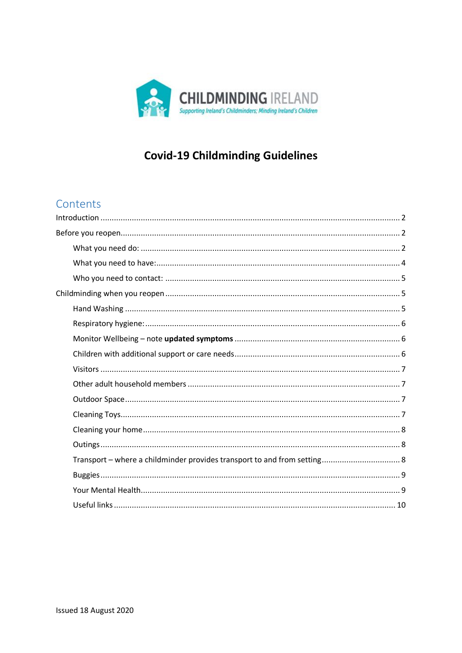

# **Covid-19 Childminding Guidelines**

## Contents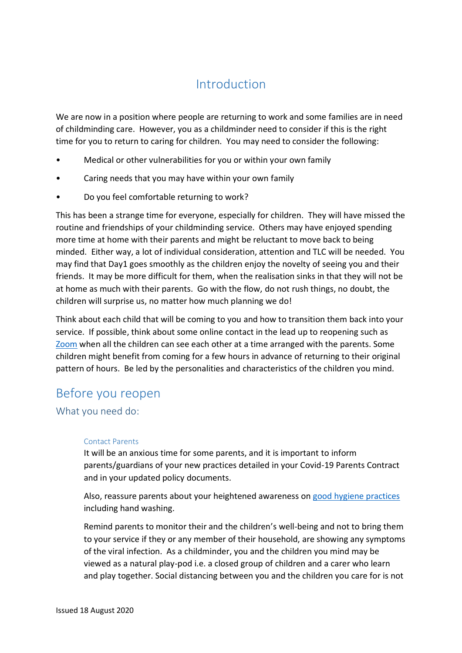## Introduction

<span id="page-1-0"></span>We are now in a position where people are returning to work and some families are in need of childminding care. However, you as a childminder need to consider if this is the right time for you to return to caring for children. You may need to consider the following:

- Medical or other vulnerabilities for you or within your own family
- Caring needs that you may have within your own family
- Do you feel comfortable returning to work?

This has been a strange time for everyone, especially for children. They will have missed the routine and friendships of your childminding service. Others may have enjoyed spending more time at home with their parents and might be reluctant to move back to being minded. Either way, a lot of individual consideration, attention and TLC will be needed. You may find that Day1 goes smoothly as the children enjoy the novelty of seeing you and their friends. It may be more difficult for them, when the realisation sinks in that they will not be at home as much with their parents. Go with the flow, do not rush things, no doubt, the children will surprise us, no matter how much planning we do!

Think about each child that will be coming to you and how to transition them back into your service. If possible, think about some online contact in the lead up to reopening such as [Zoom](https://zoom.us/) when all the children can see each other at a time arranged with the parents. Some children might benefit from coming for a few hours in advance of returning to their original pattern of hours. Be led by the personalities and characteristics of the children you mind.

## <span id="page-1-1"></span>Before you reopen

<span id="page-1-2"></span>What you need do:

#### Contact Parents

It will be an anxious time for some parents, and it is important to inform parents/guardians of your new practices detailed in your Covid-19 Parents Contract and in your updated policy documents.

Also, reassure parents about your heightened awareness on [good hygiene practices](https://www.childminding.ie/2020/04/07/good-hygiene-practice-childminding-homes/) including hand washing.

Remind parents to monitor their and the children's well-being and not to bring them to your service if they or any member of their household, are showing any symptoms of the viral infection. As a childminder, you and the children you mind may be viewed as a natural play-pod i.e. a closed group of children and a carer who learn and play together. Social distancing between you and the children you care for is not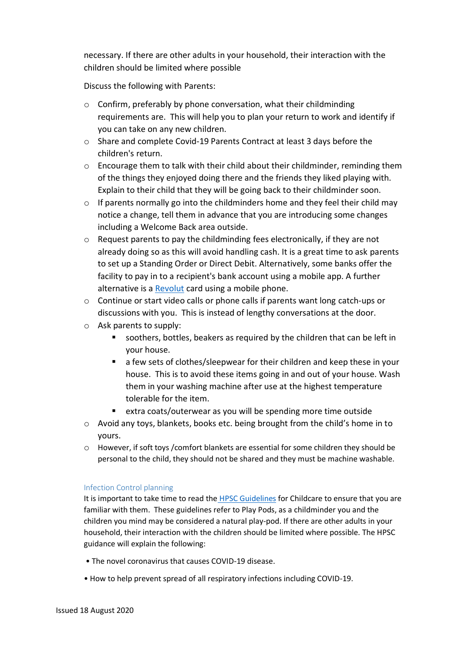necessary. If there are other adults in your household, their interaction with the children should be limited where possible

Discuss the following with Parents:

- $\circ$  Confirm, preferably by phone conversation, what their childminding requirements are. This will help you to plan your return to work and identify if you can take on any new children.
- o Share and complete Covid-19 Parents Contract at least 3 days before the children's return.
- $\circ$  Encourage them to talk with their child about their childminder, reminding them of the things they enjoyed doing there and the friends they liked playing with. Explain to their child that they will be going back to their childminder soon.
- o If parents normally go into the childminders home and they feel their child may notice a change, tell them in advance that you are introducing some changes including a Welcome Back area outside.
- $\circ$  Request parents to pay the childminding fees electronically, if they are not already doing so as this will avoid handling cash. It is a great time to ask parents to set up a Standing Order or Direct Debit. Alternatively, some banks offer the facility to pay in to a recipient's bank account using a mobile app. A further alternative is a [Revolut](https://www.revolut.com/en-IE) card using a mobile phone.
- o Continue or start video calls or phone calls if parents want long catch-ups or discussions with you. This is instead of lengthy conversations at the door.
- o Ask parents to supply:
	- soothers, bottles, beakers as required by the children that can be left in your house.
	- a few sets of clothes/sleepwear for their children and keep these in your house. This is to avoid these items going in and out of your house. Wash them in your washing machine after use at the highest temperature tolerable for the item.
	- extra coats/outerwear as you will be spending more time outside
- $\circ$  Avoid any toys, blankets, books etc. being brought from the child's home in to yours.
- o However, if soft toys /comfort blankets are essential for some children they should be personal to the child, they should not be shared and they must be machine washable.

#### Infection Control planning

It is important to take time to read the [HPSC Guidelines](https://www.hpsc.ie/a-z/respiratory/coronavirus/novelcoronavirus/guidance/educationguidance/) for Childcare to ensure that you are familiar with them. These guidelines refer to Play Pods, as a childminder you and the children you mind may be considered a natural play-pod. If there are other adults in your household, their interaction with the children should be limited where possible. The HPSC guidance will explain the following:

- The novel coronavirus that causes COVID-19 disease.
- How to help prevent spread of all respiratory infections including COVID-19.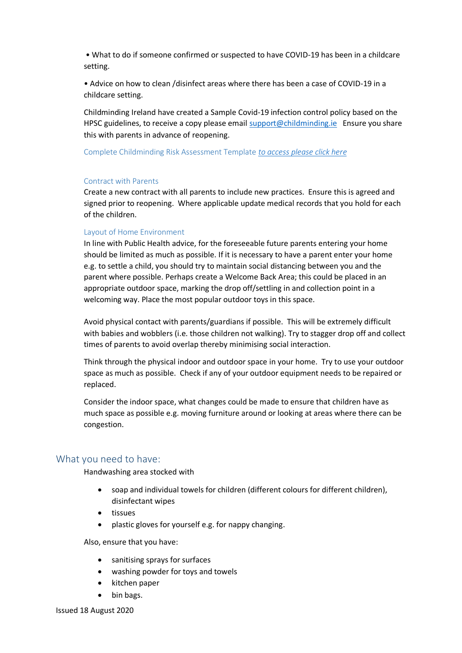• What to do if someone confirmed or suspected to have COVID-19 has been in a childcare setting.

• Advice on how to clean /disinfect areas where there has been a case of COVID-19 in a childcare setting.

Childminding Ireland have created a Sample Covid-19 infection control policy based on the HPSC guidelines, to receive a copy please email [support@childminding.ie](mailto:support@childminding.ie) Ensure you share this with parents in advance of reopening.

Complete Childminding Risk Assessment Template *[to access please click here](https://www.childminding.ie/wp-content/uploads/2020/06/Childminding-Risk-Assessment-Template.pdf)*

#### Contract with Parents

Create a new contract with all parents to include new practices. Ensure this is agreed and signed prior to reopening. Where applicable update medical records that you hold for each of the children.

#### Layout of Home Environment

In line with Public Health advice, for the foreseeable future parents entering your home should be limited as much as possible. If it is necessary to have a parent enter your home e.g. to settle a child, you should try to maintain social distancing between you and the parent where possible. Perhaps create a Welcome Back Area; this could be placed in an appropriate outdoor space, marking the drop off/settling in and collection point in a welcoming way. Place the most popular outdoor toys in this space.

Avoid physical contact with parents/guardians if possible. This will be extremely difficult with babies and wobblers (i.e. those children not walking). Try to stagger drop off and collect times of parents to avoid overlap thereby minimising social interaction.

Think through the physical indoor and outdoor space in your home. Try to use your outdoor space as much as possible. Check if any of your outdoor equipment needs to be repaired or replaced.

Consider the indoor space, what changes could be made to ensure that children have as much space as possible e.g. moving furniture around or looking at areas where there can be congestion.

#### <span id="page-3-0"></span>What you need to have:

Handwashing area stocked with

- soap and individual towels for children (different colours for different children), disinfectant wipes
- tissues
- plastic gloves for yourself e.g. for nappy changing.

Also, ensure that you have:

- sanitising sprays for surfaces
- washing powder for toys and towels
- kitchen paper
- bin bags.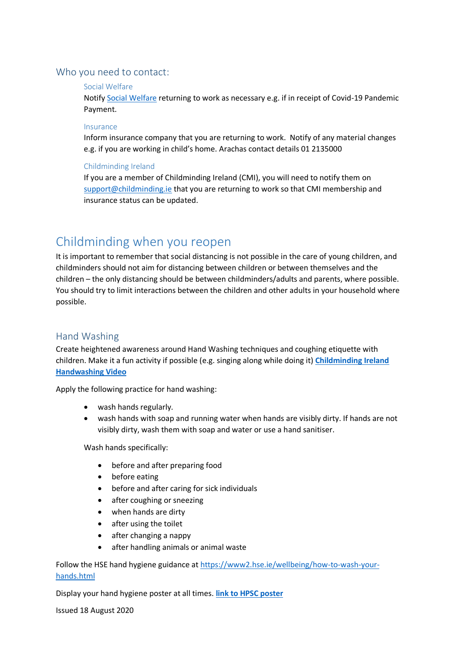### <span id="page-4-0"></span>Who you need to contact:

#### Social Welfare

Notify [Social Welfare](https://services.mywelfare.ie/en/topics/covid-19-payments/) returning to work as necessary e.g. if in receipt of Covid-19 Pandemic Payment.

#### Insurance

Inform insurance company that you are returning to work. Notify of any material changes e.g. if you are working in child's home. Arachas contact details 01 2135000

#### Childminding Ireland

If you are a member of Childminding Ireland (CMI), you will need to notify them on [support@childminding.ie](mailto:support@childminding.ie) that you are returning to work so that CMI membership and insurance status can be updated.

## <span id="page-4-1"></span>Childminding when you reopen

It is important to remember that social distancing is not possible in the care of young children, and childminders should not aim for distancing between children or between themselves and the children – the only distancing should be between childminders/adults and parents, where possible. You should try to limit interactions between the children and other adults in your household where possible.

## <span id="page-4-2"></span>Hand Washing

Create heightened awareness around Hand Washing techniques and coughing etiquette with children. Make it a fun activity if possible (e.g. singing along while doing it) **[Childminding Ireland](https://www.youtube.com/watch?v=EkDwkI2q_vk)  [Handwashing Video](https://www.youtube.com/watch?v=EkDwkI2q_vk)**

Apply the following practice for hand washing:

- wash hands regularly.
- wash hands with soap and running water when hands are visibly dirty. If hands are not visibly dirty, wash them with soap and water or use a hand sanitiser.

Wash hands specifically:

- before and after preparing food
- before eating
- before and after caring for sick individuals
- after coughing or sneezing
- when hands are dirty
- after using the toilet
- after changing a nappy
- after handling animals or animal waste

Follow the HSE hand hygiene guidance at [https://www2.hse.ie/wellbeing/how-to-wash-your](https://www2.hse.ie/wellbeing/how-to-wash-your-hands.html)[hands.html](https://www2.hse.ie/wellbeing/how-to-wash-your-hands.html)

Display your hand hygiene poster at all times. **[link to HPSC](https://www.hpsc.ie/a-z/respiratory/coronavirus/novelcoronavirus/posters/) poster**

Issued 18 August 2020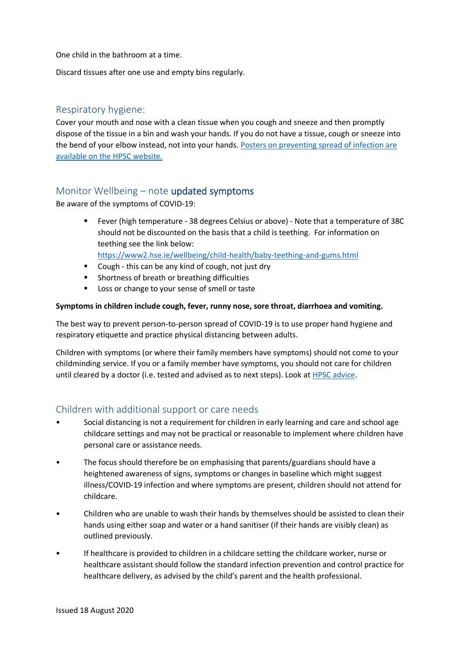One child in the bathroom at a time.

Discard tissues after one use and empty bins regularly.

### <span id="page-5-0"></span>Respiratory hygiene:

Cover your mouth and nose with a clean tissue when you cough and sneeze and then promptly dispose of the tissue in a bin and wash your hands. If you do not have a tissue, cough or sneeze into the bend of your elbow instead, not into your hands. [Posters on preventing spread of infection are](https://www.hpsc.ie/a-z/microbiologyantimicrobialresistance/infectioncontrolandhai/posters/)  [available on the HPSC website.](https://www.hpsc.ie/a-z/microbiologyantimicrobialresistance/infectioncontrolandhai/posters/)

## <span id="page-5-1"></span>Monitor Wellbeing – note updated symptoms

Be aware of the symptoms of COVID-19:

 Fever (high temperature - 38 degrees Celsius or above) - Note that a temperature of 38C should not be discounted on the basis that a child is teething. For information on teething see the link below:

<https://www2.hse.ie/wellbeing/child-health/baby-teething-and-gums.html>

- **EXTER 10 Cough this can be any kind of cough, not just dry**
- Shortness of breath or breathing difficulties
- **Loss or change to your sense of smell or taste**

#### **Symptoms in children include cough, fever, runny nose, sore throat, diarrhoea and vomiting.**

The best way to prevent person-to-person spread of COVID-19 is to use proper hand hygiene and respiratory etiquette and practice physical distancing between adults.

Children with symptoms (or where their family members have symptoms) should not come to your childminding service. If you or a family member have symptoms, you should not care for children until cleared by a doctor (i.e. tested and advised as to next steps). Look at [HPSC advice.](https://www.hpsc.ie/a-z/respiratory/coronavirus/novelcoronavirus/guidance/educationguidance/)

## <span id="page-5-2"></span>Children with additional support or care needs

- Social distancing is not a requirement for children in early learning and care and school age childcare settings and may not be practical or reasonable to implement where children have personal care or assistance needs.
- The focus should therefore be on emphasising that parents/guardians should have a heightened awareness of signs, symptoms or changes in baseline which might suggest illness/COVID-19 infection and where symptoms are present, children should not attend for childcare.
- Children who are unable to wash their hands by themselves should be assisted to clean their hands using either soap and water or a hand sanitiser (if their hands are visibly clean) as outlined previously.
- If healthcare is provided to children in a childcare setting the childcare worker, nurse or healthcare assistant should follow the standard infection prevention and control practice for healthcare delivery, as advised by the child's parent and the health professional.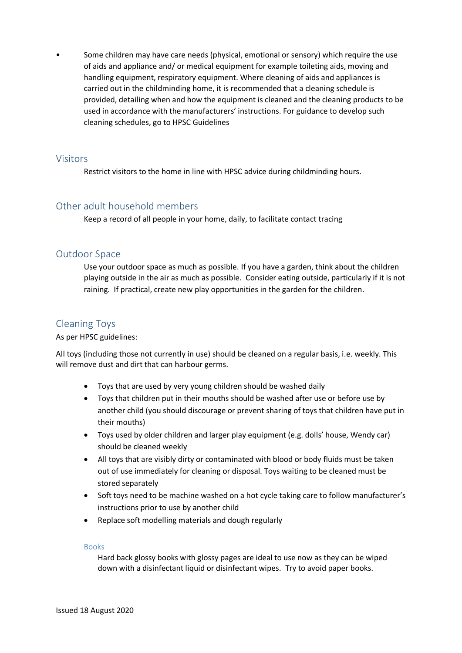• Some children may have care needs (physical, emotional or sensory) which require the use of aids and appliance and/ or medical equipment for example toileting aids, moving and handling equipment, respiratory equipment. Where cleaning of aids and appliances is carried out in the childminding home, it is recommended that a cleaning schedule is provided, detailing when and how the equipment is cleaned and the cleaning products to be used in accordance with the manufacturers' instructions. For guidance to develop such cleaning schedules, go to HPSC Guidelines

#### <span id="page-6-0"></span>Visitors

Restrict visitors to the home in line with HPSC advice during childminding hours.

## <span id="page-6-1"></span>Other adult household members

Keep a record of all people in your home, daily, to facilitate contact tracing

### <span id="page-6-2"></span>Outdoor Space

Use your outdoor space as much as possible. If you have a garden, think about the children playing outside in the air as much as possible. Consider eating outside, particularly if it is not raining. If practical, create new play opportunities in the garden for the children.

## <span id="page-6-3"></span>Cleaning Toys

#### As per HPSC guidelines:

All toys (including those not currently in use) should be cleaned on a regular basis, i.e. weekly. This will remove dust and dirt that can harbour germs.

- Toys that are used by very young children should be washed daily
- Toys that children put in their mouths should be washed after use or before use by another child (you should discourage or prevent sharing of toys that children have put in their mouths)
- Toys used by older children and larger play equipment (e.g. dolls' house, Wendy car) should be cleaned weekly
- All toys that are visibly dirty or contaminated with blood or body fluids must be taken out of use immediately for cleaning or disposal. Toys waiting to be cleaned must be stored separately
- Soft toys need to be machine washed on a hot cycle taking care to follow manufacturer's instructions prior to use by another child
- Replace soft modelling materials and dough regularly

#### Books

Hard back glossy books with glossy pages are ideal to use now as they can be wiped down with a disinfectant liquid or disinfectant wipes. Try to avoid paper books.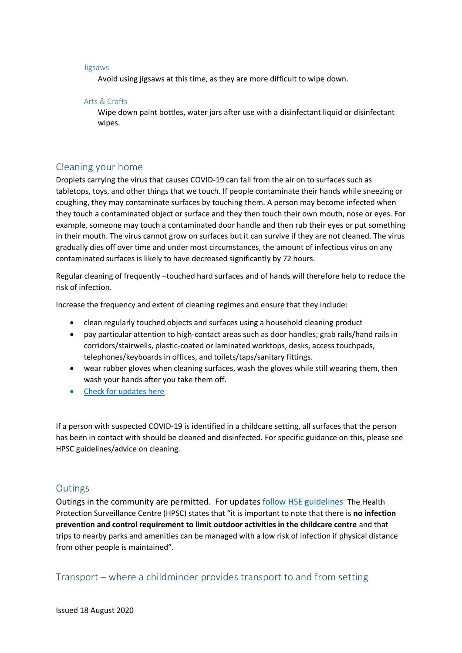#### Jigsaws

Avoid using jigsaws at this time, as they are more difficult to wipe down.

#### Arts & Crafts

Wipe down paint bottles, water jars after use with a disinfectant liquid or disinfectant wipes.

## <span id="page-7-0"></span>Cleaning your home

Droplets carrying the virus that causes COVID-19 can fall from the air on to surfaces such as tabletops, toys, and other things that we touch. If people contaminate their hands while sneezing or coughing, they may contaminate surfaces by touching them. A person may become infected when they touch a contaminated object or surface and they then touch their own mouth, nose or eyes. For example, someone may touch a contaminated door handle and then rub their eyes or put something in their mouth. The virus cannot grow on surfaces but it can survive if they are not cleaned. The virus gradually dies off over time and under most circumstances, the amount of infectious virus on any contaminated surfaces is likely to have decreased significantly by 72 hours.

Regular cleaning of frequently –touched hard surfaces and of hands will therefore help to reduce the risk of infection.

Increase the frequency and extent of cleaning regimes and ensure that they include:

- clean regularly touched objects and surfaces using a household cleaning product
- pay particular attention to high-contact areas such as door handles; grab rails/hand rails in corridors/stairwells, plastic-coated or laminated worktops, desks, access touchpads, telephones/keyboards in offices, and toilets/taps/sanitary fittings.
- wear rubber gloves when cleaning surfaces, wash the gloves while still wearing them, then wash your hands after you take them off.
- [Check for updates](https://www.hpsc.ie/a-z/respiratory/coronavirus/novelcoronavirus/guidance/educationguidance/) here

If a person with suspected COVID-19 is identified in a childcare setting, all surfaces that the person has been in contact with should be cleaned and disinfected. For specific guidance on this, please see HPSC guidelines/advice on cleaning.

## <span id="page-7-1"></span>**Outings**

Outings in the community are permitted. For updates [follow HSE guidelines](https://www2.hse.ie/conditions/coronavirus/protecting-your-child.html) The Health Protection Surveillance Centre (HPSC) states that "it is important to note that there is **no infection prevention and control requirement to limit outdoor activities in the childcare centre** and that trips to nearby parks and amenities can be managed with a low risk of infection if physical distance from other people is maintained".

<span id="page-7-2"></span>Transport – where a childminder provides transport to and from setting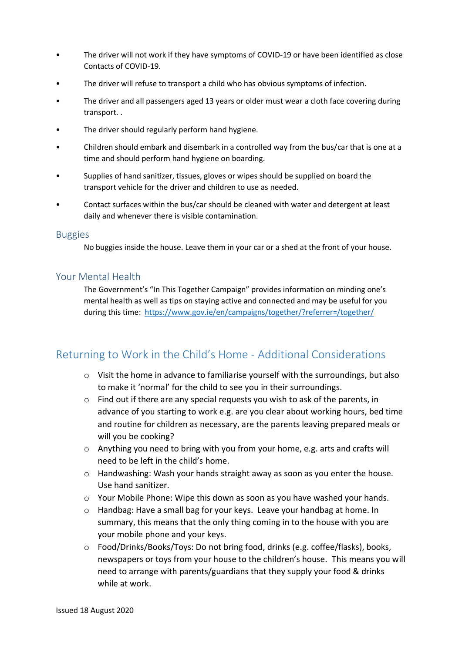- The driver will not work if they have symptoms of COVID-19 or have been identified as close Contacts of COVID-19.
- The driver will refuse to transport a child who has obvious symptoms of infection.
- The driver and all passengers aged 13 years or older must wear a cloth face covering during transport. .
- The driver should regularly perform hand hygiene.
- Children should embark and disembark in a controlled way from the bus/car that is one at a time and should perform hand hygiene on boarding.
- Supplies of hand sanitizer, tissues, gloves or wipes should be supplied on board the transport vehicle for the driver and children to use as needed.
- Contact surfaces within the bus/car should be cleaned with water and detergent at least daily and whenever there is visible contamination.

#### <span id="page-8-0"></span>Buggies

No buggies inside the house. Leave them in your car or a shed at the front of your house.

### <span id="page-8-1"></span>Your Mental Health

The Government's "In This Together Campaign" provides information on minding one's mental health as well as tips on staying active and connected and may be useful for you during this time:<https://www.gov.ie/en/campaigns/together/?referrer=/together/>

## Returning to Work in the Child's Home - Additional Considerations

- o Visit the home in advance to familiarise yourself with the surroundings, but also to make it 'normal' for the child to see you in their surroundings.
- $\circ$  Find out if there are any special requests you wish to ask of the parents, in advance of you starting to work e.g. are you clear about working hours, bed time and routine for children as necessary, are the parents leaving prepared meals or will you be cooking?
- o Anything you need to bring with you from your home, e.g. arts and crafts will need to be left in the child's home.
- o Handwashing: Wash your hands straight away as soon as you enter the house. Use hand sanitizer.
- $\circ$  Your Mobile Phone: Wipe this down as soon as you have washed your hands.
- o Handbag: Have a small bag for your keys. Leave your handbag at home. In summary, this means that the only thing coming in to the house with you are your mobile phone and your keys.
- o Food/Drinks/Books/Toys: Do not bring food, drinks (e.g. coffee/flasks), books, newspapers or toys from your house to the children's house. This means you will need to arrange with parents/guardians that they supply your food & drinks while at work.